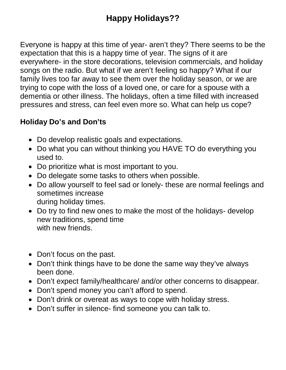Everyone is happy at this time of year- aren't they? There seems to be the expectation that this is a happy time of year. The signs of it are everywhere- in the store decorations, television commercials, and holiday songs on the radio. But what if we aren't feeling so happy? What if our family lives too far away to see them over the holiday season, or we are trying to cope with the loss of a loved one, or care for a spouse with a dementia or other illness. The holidays, often a time filled with increased pressures and stress, can feel even more so. What can help us cope?

## **Holiday Do's and Don'ts**

- Do develop realistic goals and expectations.
- Do what you can without thinking you HAVE TO do everything you used to.
- Do prioritize what is most important to you.
- Do delegate some tasks to others when possible.
- Do allow yourself to feel sad or lonely- these are normal feelings and sometimes increase during holiday times.
- Do try to find new ones to make the most of the holidays- develop new traditions, spend time with new friends.
- Don't focus on the past.
- Don't think things have to be done the same way they've always been done.
- Don't expect family/healthcare/ and/or other concerns to disappear.
- Don't spend money you can't afford to spend.
- Don't drink or overeat as ways to cope with holiday stress.
- Don't suffer in silence- find someone you can talk to.